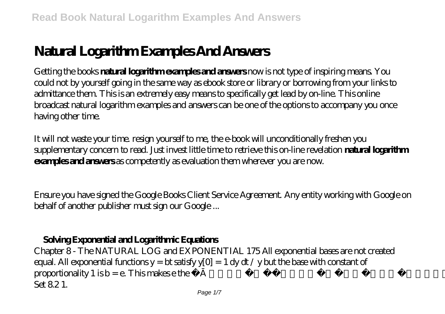# **Natural Logarithm Examples And Answers**

Getting the books **natural logarithm examples and answers** now is not type of inspiring means. You could not by yourself going in the same way as ebook store or library or borrowing from your links to admittance them. This is an extremely easy means to specifically get lead by on-line. This online broadcast natural logarithm examples and answers can be one of the options to accompany you once having other time.

It will not waste your time. resign yourself to me, the e-book will unconditionally freshen you supplementary concern to read. Just invest little time to retrieve this on-line revelation **natural logarithm examples and answers** as competently as evaluation them wherever you are now.

Ensure you have signed the Google Books Client Service Agreement. Any entity working with Google on behalf of another publisher must sign our Google ...

## **Solving Exponential and Logarithmic Equations**

Chapter 8 - The NATURAL LOG and EXPONENTIAL 175 All exponential bases are not created equal. All exponential functions  $y = bt$  satisfy  $y[0] = 1$  dy dt / y but the base with constant of proportionality 1 is  $b = e$ . This makes  $e$  the finatural flbase from the point of view of calculus. Exercise Set 8.2.1.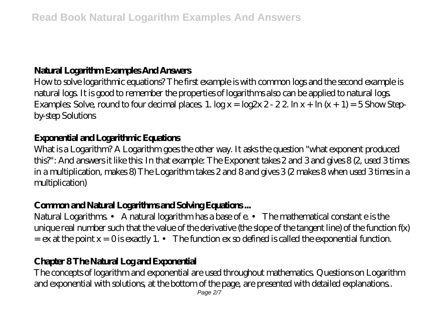## **Natural Logarithm Examples And Answers**

How to solve logarithmic equations? The first example is with common logs and the second example is natural logs. It is good to remember the properties of logarithms also can be applied to natural logs. Examples: Solve, round to four decimal places. 1.  $\log x = \log 2x 2 - 22 \ln x + \ln (x + 1) = 5$ Show Stepby-step Solutions

#### **Exponential and Logarithmic Equations**

What is a Logarithm? A Logarithm goes the other way. It asks the question "what exponent produced this?": And answers it like this: In that example: The Exponent takes 2 and 3 and gives 8 (2, used 3 times in a multiplication, makes 8) The Logarithm takes 2 and 8 and gives 3 (2 makes 8 when used 3 times in a multiplication)

## **Common and Natural Logarithms and Solving Equations ...**

Natural Logarithms. • A natural logarithm has a base of e. • The mathematical constant e is the unique real number such that the value of the derivative (the slope of the tangent line) of the function f(x)  $=$  ex at the point  $x = 0$  is exactly 1.  $\cdot$  The function ex so defined is called the exponential function.

## **Chapter 8 The Natural Log and Exponential**

The concepts of logarithm and exponential are used throughout mathematics. Questions on Logarithm and exponential with solutions, at the bottom of the page, are presented with detailed explanations..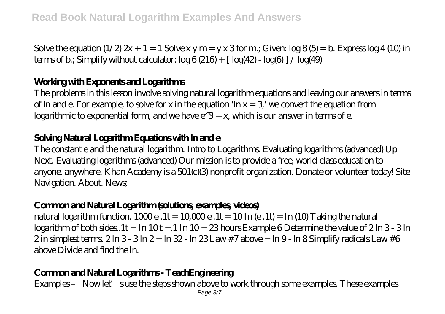Solve the equation  $(1/2) 2x + 1 = 1$  Solve x y m = y x 3 for m; Given:  $\log 8(5) = b$ . Express  $\log 4(10)$  in terms of b.; Simplify without calculator:  $\log 6 (216) + [\log(42) - \log(6)] / \log(49)$ 

#### **Working with Exponents and Logarithms**

The problems in this lesson involve solving natural logarithm equations and leaving our answers in terms of ln and e. For example, to solve for x in the equation 'ln  $x = 3'$  we convert the equation from logarithmic to exponential form, and we have  $e^{\lambda}$ 3 = x, which is our answer in terms of e.

#### **Solving Natural Logarithm Equations with ln and e**

The constant e and the natural logarithm. Intro to Logarithms. Evaluating logarithms (advanced) Up Next. Evaluating logarithms (advanced) Our mission is to provide a free, world-class education to anyone, anywhere. Khan Academy is a 501(c)(3) nonprofit organization. Donate or volunteer today! Site Navigation. About. News;

#### **Common and Natural Logarithm (solutions, examples, videos)**

natural logarithm function.  $1000e$ .  $1t = 10000e$ .  $1t = 10 \ln(e)$ .  $1t = \ln(10)$  Taking the natural  $logarithm of both sides.1t = In 10t = .1 In 10 = .23 hours Example 6 Determine the value of  $2\ln 3 - 3\ln 3$$  $2$  in simplest terms.  $2 \ln 3 - 3 \ln 2 = \ln 32 - \ln 23$  Law  $\#7$  above =  $\ln 9$ -  $\ln 8$  Simplify radicals Law  $\#6$ above Divide and find the ln.

#### **Common and Natural Logarithms - TeachEngineering**

Examples – Now let's use the steps shown above to work through some examples. These examples Page 3/7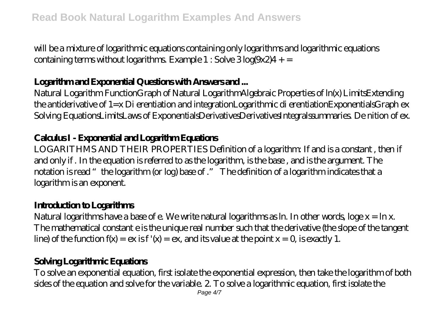will be a mixture of logarithmic equations containing only logarithms and logarithmic equations containing terms without logarithms. Example  $1:$  Solve  $3$  log(9x2) $4+$  =

#### **Logarithm and Exponential Questions with Answers and ...**

Natural Logarithm FunctionGraph of Natural LogarithmAlgebraic Properties of ln(x) LimitsExtending the antiderivative of 1=x Di erentiation and integrationLogarithmic di erentiationExponentialsGraph ex Solving EquationsLimitsLaws of ExponentialsDerivativesDerivativesIntegralssummaries. De nition of ex.

## **Calculus I - Exponential and Logarithm Equations**

LOGARITHMS AND THEIR PROPERTIES Definition of a logarithm: If and is a constant , then if and only if . In the equation is referred to as the logarithm, is the base , and is the argument. The notation is read "the logarithm (or log) base of ." The definition of a logarithm indicates that a logarithm is an exponent.

#### **Introduction to Logarithms**

Natural logarithms have a base of e. We write natural logarithms as ln. In other words, loge  $x = \ln x$ . The mathematical constant e is the unique real number such that the derivative (the slope of the tangent line) of the function  $f(x) = e x$  is  $f'(x) = e x$ , and its value at the point  $x = 0$  is exactly 1.

## **Solving Logarithmic Equations**

To solve an exponential equation, first isolate the exponential expression, then take the logarithm of both sides of the equation and solve for the variable. 2. To solve a logarithmic equation, first isolate the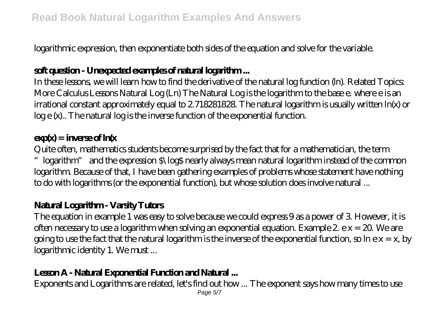logarithmic expression, then exponentiate both sides of the equation and solve for the variable.

## **soft question - Unexpected examples of natural logarithm ...**

In these lessons, we will learn how to find the derivative of the natural log function (ln). Related Topics: More Calculus Lessons Natural Log (Ln) The Natural Log is the logarithm to the base e. where e is an irrational constant approximately equal to 2.718281828. The natural logarithm is usually written ln(x) or log e (x).. The natural log is the inverse function of the exponential function.

## $exp(x) = image of ln(x)$

Quite often, mathematics students become surprised by the fact that for a mathematician, the term "logarithm" and the expression \$\log\$ nearly always mean natural logarithm instead of the common logarithm. Because of that, I have been gathering examples of problems whose statement have nothing to do with logarithms (or the exponential function), but whose solution does involve natural ...

## **Natural Logarithm - Varsity Tutors**

The equation in example 1 was easy to solve because we could express 9 as a power of 3. However, it is often necessary to use a logarithm when solving an exponential equation. Example 2. e x = 20. We are going to use the fact that the natural logarithm is the inverse of the exponential function, so  $\ln e x = x$ , by logarithmic identity 1. We must ...

## **Lesson A - Natural Exponential Function and Natural ...**

Exponents and Logarithms are related, let's find out how ... The exponent says how many times to use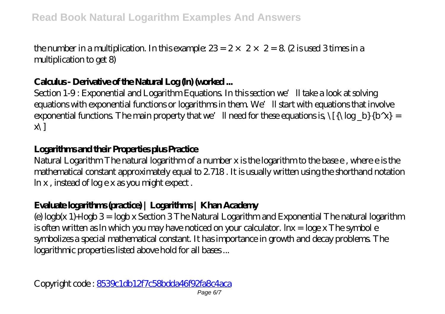the number in a multiplication. In this example:  $23 = 2 \times 2 \times 2 = 8$  (2 is used 3 times in a multiplication to get 8)

## **Calculus - Derivative of the Natural Log (ln) (worked ...**

Section 1-9: Exponential and Logarithm Equations. In this section we'll take a look at solving equations with exponential functions or logarithms in them. We'll start with equations that involve exponential functions. The main property that we'll need for these equations is,  $\{\{\lambda \log\ b\}\$  =  $\mathbf{x}$ 

## **Logarithms and their Properties plus Practice**

Natural Logarithm The natural logarithm of a number x is the logarithm to the base e , where e is the mathematical constant approximately equal to 2.718 . It is usually written using the shorthand notation ln x , instead of log e x as you might expect .

## **Evaluate logarithms (practice) | Logarithms | Khan Academy**

(e) logb(x 1)+logb 3 = logb x Section 3 The Natural Logarithm and Exponential The natural logarithm is often written as ln which you may have noticed on your calculator. lnx = loge x The symbol e symbolizes a special mathematical constant. It has importance in growth and decay problems. The logarithmic properties listed above hold for all bases ...